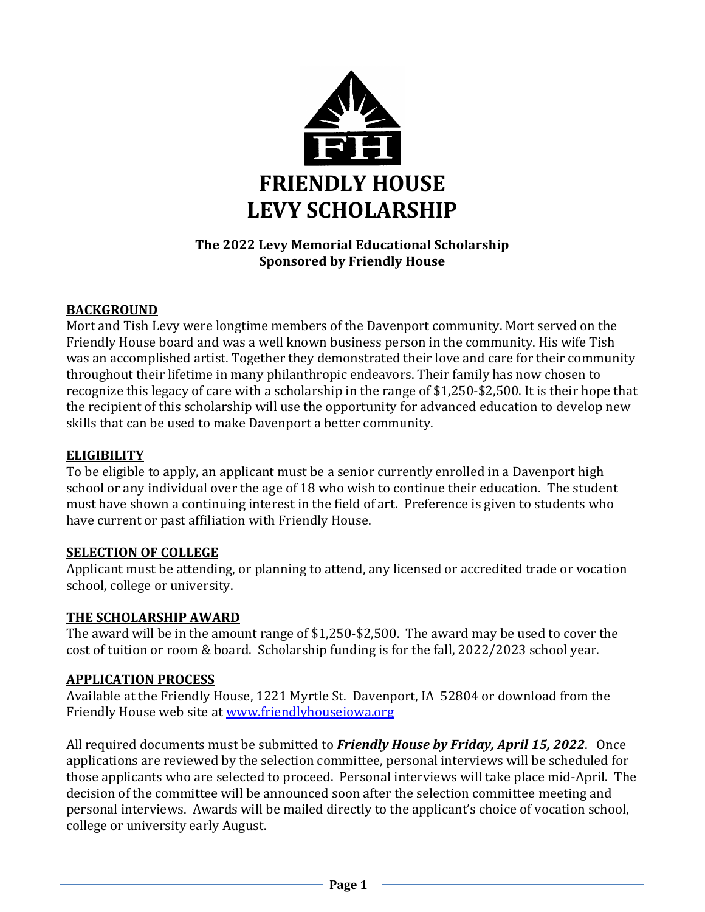

## **The 2022 Levy Memorial Educational Scholarship Sponsored by Friendly House**

## **BACKGROUND**

Mort and Tish Levy were longtime members of the Davenport community. Mort served on the Friendly House board and was a well known business person in the community. His wife Tish was an accomplished artist. Together they demonstrated their love and care for their community throughout their lifetime in many philanthropic endeavors. Their family has now chosen to recognize this legacy of care with a scholarship in the range of \$1,250-\$2,500. It is their hope that the recipient of this scholarship will use the opportunity for advanced education to develop new skills that can be used to make Davenport a better community.

#### **ELIGIBILITY**

To be eligible to apply, an applicant must be a senior currently enrolled in a Davenport high school or any individual over the age of 18 who wish to continue their education. The student must have shown a continuing interest in the field of art. Preference is given to students who have current or past affiliation with Friendly House.

#### **SELECTION OF COLLEGE**

Applicant must be attending, or planning to attend, any licensed or accredited trade or vocation school, college or university.

### **THE SCHOLARSHIP AWARD**

The award will be in the amount range of \$1,250-\$2,500. The award may be used to cover the cost of tuition or room & board. Scholarship funding is for the fall, 2022/2023 school year.

#### **APPLICATION PROCESS**

Available at the Friendly House, 1221 Myrtle St. Davenport, IA 52804 or download from the Friendly House web site at [www.friendlyhouseiowa.org](http://www.friendlyhouseiowa.org/)

All required documents must be submitted to *Friendly House by Friday, April 15, 2022*. Once applications are reviewed by the selection committee, personal interviews will be scheduled for those applicants who are selected to proceed. Personal interviews will take place mid-April. The decision of the committee will be announced soon after the selection committee meeting and personal interviews. Awards will be mailed directly to the applicant's choice of vocation school, college or university early August.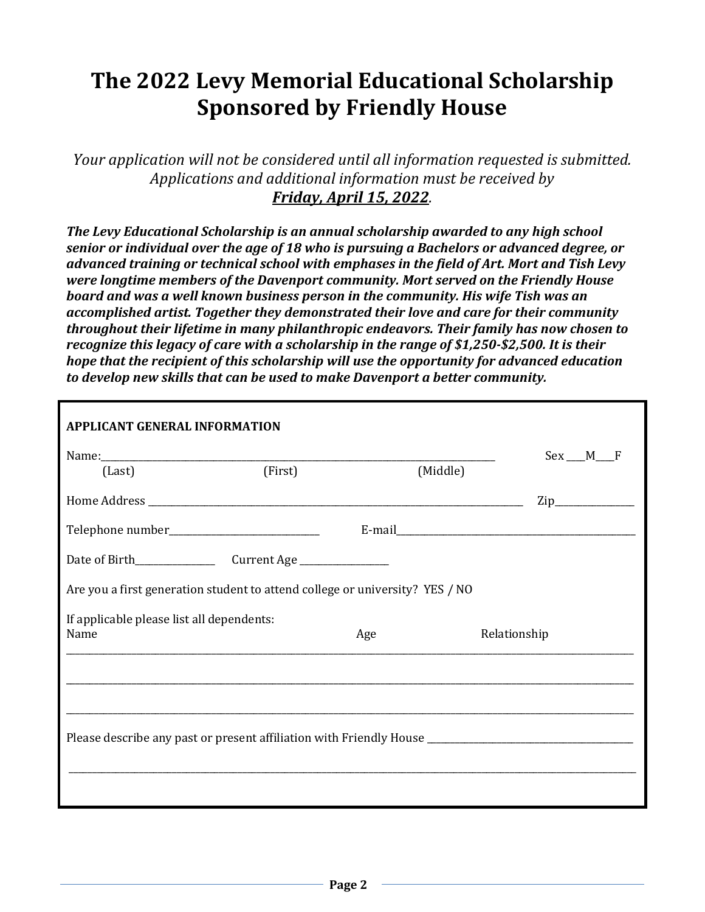# **The 2022 Levy Memorial Educational Scholarship Sponsored by Friendly House**

*Your application will not be considered until all information requested is submitted. Applications and additional information must be received by Friday, April 15, 2022.*

*The Levy Educational Scholarship is an annual scholarship awarded to any high school senior or individual over the age of 18 who is pursuing a Bachelors or advanced degree, or advanced training or technical school with emphases in the field of Art. Mort and Tish Levy were longtime members of the Davenport community. Mort served on the Friendly House board and was a well known business person in the community. His wife Tish was an accomplished artist. Together they demonstrated their love and care for their community throughout their lifetime in many philanthropic endeavors. Their family has now chosen to recognize this legacy of care with a scholarship in the range of \$1,250-\$2,500. It is their hope that the recipient of this scholarship will use the opportunity for advanced education to develop new skills that can be used to make Davenport a better community.* 

| <b>APPLICANT GENERAL INFORMATION</b>                                                                 |         |              |                  |  |
|------------------------------------------------------------------------------------------------------|---------|--------------|------------------|--|
| (Last)                                                                                               | (First) | (Middle)     | $Sex$ __ M___F   |  |
|                                                                                                      |         |              | $\mathsf{Zip}\_$ |  |
|                                                                                                      |         |              |                  |  |
|                                                                                                      |         |              |                  |  |
| Are you a first generation student to attend college or university? YES / NO                         |         |              |                  |  |
| If applicable please list all dependents:<br>Name                                                    | Age     | Relationship |                  |  |
|                                                                                                      |         |              |                  |  |
| Please describe any past or present affiliation with Friendly House ________________________________ |         |              |                  |  |
|                                                                                                      |         |              |                  |  |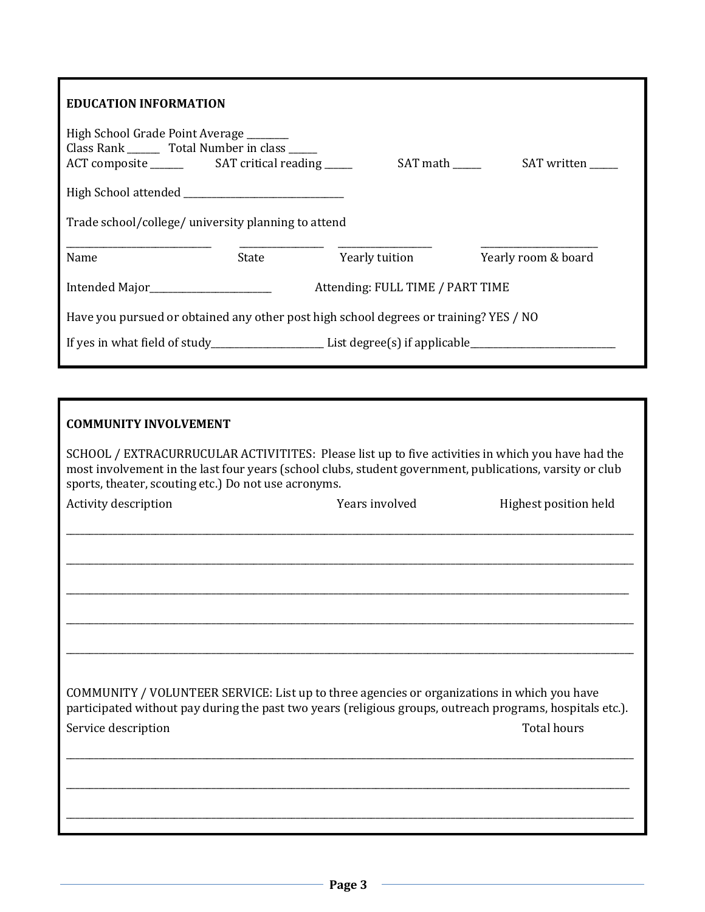| <b>EDUCATION INFORMATION</b>                                                                                   |                |                     |  |  |
|----------------------------------------------------------------------------------------------------------------|----------------|---------------------|--|--|
| High School Grade Point Average _______<br>Class Rank ________ Total Number in class _____                     |                |                     |  |  |
|                                                                                                                |                |                     |  |  |
| Trade school/college/ university planning to attend                                                            |                |                     |  |  |
| Name<br>State                                                                                                  | Yearly tuition | Yearly room & board |  |  |
| Attending: FULL TIME / PART TIME                                                                               |                |                     |  |  |
| Have you pursued or obtained any other post high school degrees or training? YES / NO                          |                |                     |  |  |
| If yes in what field of study_________________________List degree(s) if applicable____________________________ |                |                     |  |  |

| <b>COMMUNITY INVOLVEMENT</b>                                                                                                                                                                                                                                          |                |                       |
|-----------------------------------------------------------------------------------------------------------------------------------------------------------------------------------------------------------------------------------------------------------------------|----------------|-----------------------|
| SCHOOL / EXTRACURRUCULAR ACTIVITITES: Please list up to five activities in which you have had the<br>most involvement in the last four years (school clubs, student government, publications, varsity or club<br>sports, theater, scouting etc.) Do not use acronyms. |                |                       |
| Activity description                                                                                                                                                                                                                                                  | Years involved | Highest position held |
|                                                                                                                                                                                                                                                                       |                |                       |
|                                                                                                                                                                                                                                                                       |                |                       |
|                                                                                                                                                                                                                                                                       |                |                       |
|                                                                                                                                                                                                                                                                       |                |                       |
| COMMUNITY / VOLUNTEER SERVICE: List up to three agencies or organizations in which you have<br>participated without pay during the past two years (religious groups, outreach programs, hospitals etc.).                                                              |                |                       |
| Service description                                                                                                                                                                                                                                                   |                | <b>Total hours</b>    |
|                                                                                                                                                                                                                                                                       |                |                       |
|                                                                                                                                                                                                                                                                       |                |                       |
|                                                                                                                                                                                                                                                                       |                |                       |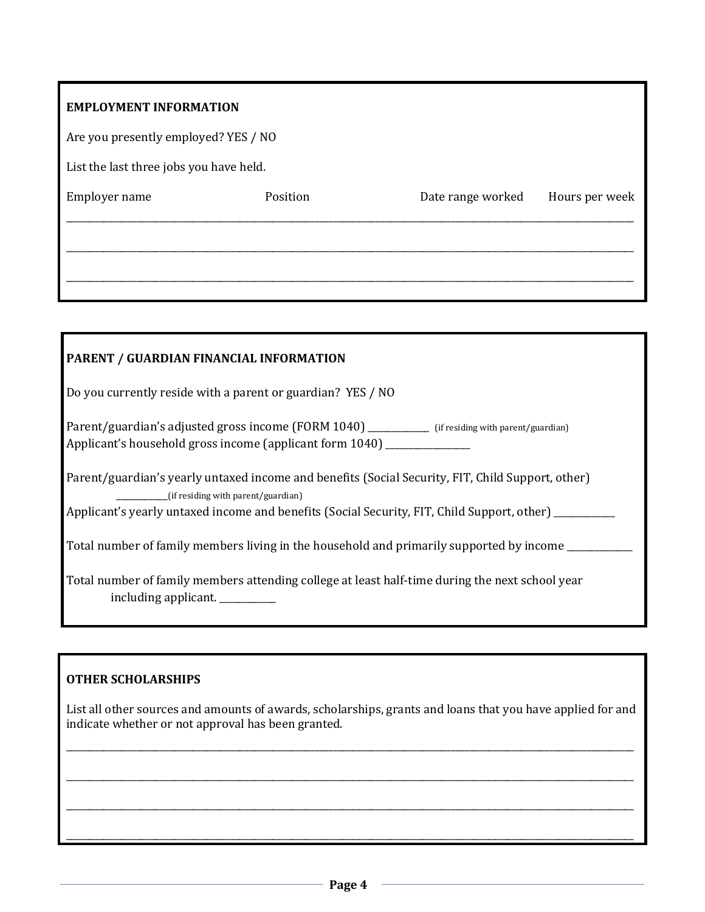| <b>EMPLOYMENT INFORMATION</b>           |          |                   |                |
|-----------------------------------------|----------|-------------------|----------------|
| Are you presently employed? YES / NO    |          |                   |                |
| List the last three jobs you have held. |          |                   |                |
| Employer name                           | Position | Date range worked | Hours per week |
|                                         |          |                   |                |
|                                         |          |                   |                |
|                                         |          |                   |                |
|                                         |          |                   |                |

| PARENT / GUARDIAN FINANCIAL INFORMATION                                                                                                                                                                                                          |
|--------------------------------------------------------------------------------------------------------------------------------------------------------------------------------------------------------------------------------------------------|
| Do you currently reside with a parent or guardian? YES / NO                                                                                                                                                                                      |
| Parent/guardian's adjusted gross income (FORM 1040) ___________ (if residing with parent/guardian)<br>Applicant's household gross income (applicant form 1040) ______________                                                                    |
| Parent/guardian's yearly untaxed income and benefits (Social Security, FIT, Child Support, other)<br>__________(if residing with parent/guardian)<br>Applicant's yearly untaxed income and benefits (Social Security, FIT, Child Support, other) |
| Total number of family members living in the household and primarily supported by income                                                                                                                                                         |
| Total number of family members attending college at least half-time during the next school year<br>including applicant.                                                                                                                          |

## **OTHER SCHOLARSHIPS**

List all other sources and amounts of awards, scholarships, grants and loans that you have applied for and indicate whether or not approval has been granted.

\_\_\_\_\_\_\_\_\_\_\_\_\_\_\_\_\_\_\_\_\_\_\_\_\_\_\_\_\_\_\_\_\_\_\_\_\_\_\_\_\_\_\_\_\_\_\_\_\_\_\_\_\_\_\_\_\_\_\_\_\_\_\_\_\_\_\_\_\_\_\_\_\_\_\_\_\_\_\_\_\_\_\_\_\_\_\_\_\_\_\_\_\_\_\_\_\_\_\_\_\_\_\_\_\_\_\_\_\_\_\_\_\_\_\_\_\_\_\_\_\_

\_\_\_\_\_\_\_\_\_\_\_\_\_\_\_\_\_\_\_\_\_\_\_\_\_\_\_\_\_\_\_\_\_\_\_\_\_\_\_\_\_\_\_\_\_\_\_\_\_\_\_\_\_\_\_\_\_\_\_\_\_\_\_\_\_\_\_\_\_\_\_\_\_\_\_\_\_\_\_\_\_\_\_\_\_\_\_\_\_\_\_\_\_\_\_\_\_\_\_\_\_\_\_\_\_\_\_\_\_\_\_\_\_\_\_\_\_\_\_\_\_

\_\_\_\_\_\_\_\_\_\_\_\_\_\_\_\_\_\_\_\_\_\_\_\_\_\_\_\_\_\_\_\_\_\_\_\_\_\_\_\_\_\_\_\_\_\_\_\_\_\_\_\_\_\_\_\_\_\_\_\_\_\_\_\_\_\_\_\_\_\_\_\_\_\_\_\_\_\_\_\_\_\_\_\_\_\_\_\_\_\_\_\_\_\_\_\_\_\_\_\_\_\_\_\_\_\_\_\_\_\_\_\_\_\_\_\_\_\_\_\_\_

\_\_\_\_\_\_\_\_\_\_\_\_\_\_\_\_\_\_\_\_\_\_\_\_\_\_\_\_\_\_\_\_\_\_\_\_\_\_\_\_\_\_\_\_\_\_\_\_\_\_\_\_\_\_\_\_\_\_\_\_\_\_\_\_\_\_\_\_\_\_\_\_\_\_\_\_\_\_\_\_\_\_\_\_\_\_\_\_\_\_\_\_\_\_\_\_\_\_\_\_\_\_\_\_\_\_\_\_\_\_\_\_\_\_\_\_\_\_\_\_\_